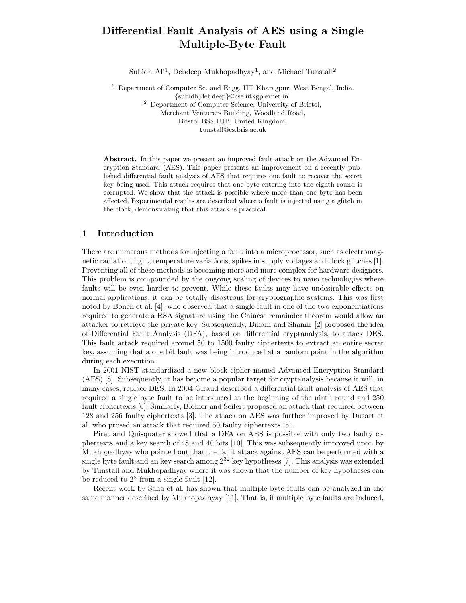# Differential Fault Analysis of AES using a Single Multiple-Byte Fault

Subidh Ali<sup>1</sup>, Debdeep Mukhopadhyay<sup>1</sup>, and Michael Tunstall<sup>2</sup>

<sup>1</sup> Department of Computer Sc. and Engg, IIT Kharagpur, West Bengal, India. {subidh,debdeep}@cse.iitkgp.ernet.in <sup>2</sup> Department of Computer Science, University of Bristol, Merchant Venturers Building, Woodland Road, Bristol BS8 1UB, United Kingdom. tunstall@cs.bris.ac.uk

Abstract. In this paper we present an improved fault attack on the Advanced Encryption Standard (AES). This paper presents an improvement on a recently published differential fault analysis of AES that requires one fault to recover the secret key being used. This attack requires that one byte entering into the eighth round is corrupted. We show that the attack is possible where more than one byte has been affected. Experimental results are described where a fault is injected using a glitch in the clock, demonstrating that this attack is practical.

## 1 Introduction

There are numerous methods for injecting a fault into a microprocessor, such as electromagnetic radiation, light, temperature variations, spikes in supply voltages and clock glitches [1]. Preventing all of these methods is becoming more and more complex for hardware designers. This problem is compounded by the ongoing scaling of devices to nano technologies where faults will be even harder to prevent. While these faults may have undesirable effects on normal applications, it can be totally disastrous for cryptographic systems. This was first noted by Boneh et al. [4], who observed that a single fault in one of the two exponentiations required to generate a RSA signature using the Chinese remainder theorem would allow an attacker to retrieve the private key. Subsequently, Biham and Shamir [2] proposed the idea of Differential Fault Analysis (DFA), based on differential cryptanalysis, to attack DES. This fault attack required around 50 to 1500 faulty ciphertexts to extract an entire secret key, assuming that a one bit fault was being introduced at a random point in the algorithm during each execution.

In 2001 NIST standardized a new block cipher named Advanced Encryption Standard (AES) [8]. Subsequently, it has become a popular target for cryptanalysis because it will, in many cases, replace DES. In 2004 Giraud described a differential fault analysis of AES that required a single byte fault to be introduced at the beginning of the ninth round and 250 fault ciphertexts [6]. Similarly, Blömer and Seifert proposed an attack that required between 128 and 256 faulty ciphertexts [3]. The attack on AES was further improved by Dusart et al. who prosed an attack that required 50 faulty ciphertexts [5].

Piret and Quisquater showed that a DFA on AES is possible with only two faulty ciphertexts and a key search of 48 and 40 bits [10]. This was subsequently improved upon by Mukhopadhyay who pointed out that the fault attack against AES can be performed with a single byte fault and an key search among  $2^{32}$  key hypotheses [7]. This analysis was extended by Tunstall and Mukhopadhyay where it was shown that the number of key hypotheses can be reduced to  $2^8$  from a single fault [12].

Recent work by Saha et al. has shown that multiple byte faults can be analyzed in the same manner described by Mukhopadhyay [11]. That is, if multiple byte faults are induced,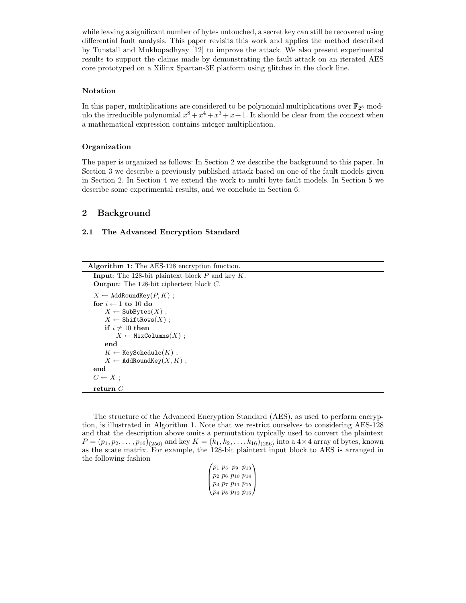while leaving a significant number of bytes untouched, a secret key can still be recovered using differential fault analysis. This paper revisits this work and applies the method described by Tunstall and Mukhopadhyay [12] to improve the attack. We also present experimental results to support the claims made by demonstrating the fault attack on an iterated AES core prototyped on a Xilinx Spartan-3E platform using glitches in the clock line.

#### Notation

In this paper, multiplications are considered to be polynomial multiplications over  $\mathbb{F}_{2^8}$  modulo the irreducible polynomial  $x^8 + x^4 + x^3 + x + 1$ . It should be clear from the context when a mathematical expression contains integer multiplication.

#### Organization

The paper is organized as follows: In Section 2 we describe the background to this paper. In Section 3 we describe a previously published attack based on one of the fault models given in Section 2. In Section 4 we extend the work to multi byte fault models. In Section 5 we describe some experimental results, and we conclude in Section 6.

## 2 Background

#### 2.1 The Advanced Encryption Standard

| <b>Algorithm 1:</b> The AES-128 encryption function.        |
|-------------------------------------------------------------|
| <b>Input:</b> The 128-bit plaintext block $P$ and key $K$ . |
| <b>Output:</b> The 128-bit ciphertext block $C$ .           |
| $X \leftarrow$ AddRoundKey $(P, K)$ ;                       |
| for $i \leftarrow 1$ to 10 do                               |
| $X \leftarrow$ SubBytes $(X)$ ;                             |
| $X \leftarrow$ ShiftRows $(X)$ ;                            |
| if $i \neq 10$ then                                         |
| $X \leftarrow$ MixColumns $(X)$ ;                           |
| end                                                         |
| $K \leftarrow$ KeySchedule $(K)$ ;                          |
| $X \leftarrow$ AddRoundKey $(X, K)$ ;                       |
| end                                                         |
| $C \leftarrow X$ :                                          |
| return $C$                                                  |

The structure of the Advanced Encryption Standard (AES), as used to perform encryption, is illustrated in Algorithm 1. Note that we restrict ourselves to considering AES-128 and that the description above omits a permutation typically used to convert the plaintext  $P = (p_1, p_2, \ldots, p_{16})_{(256)}$  and key  $K = (k_1, k_2, \ldots, k_{16})_{(256)}$  into a  $4 \times 4$  array of bytes, known as the state matrix. For example, the 128-bit plaintext input block to AES is arranged in the following fashion

|  |  | $\begin{pmatrix} p_1 & p_5 & p_9 & p_{13} \ p_2 & p_6 & p_{10} & p_{14} \ p_3 & p_7 & p_{11} & p_{15} \ p_4 & p_8 & p_{12} & p_{16} \end{pmatrix}$ |
|--|--|----------------------------------------------------------------------------------------------------------------------------------------------------|
|  |  |                                                                                                                                                    |
|  |  |                                                                                                                                                    |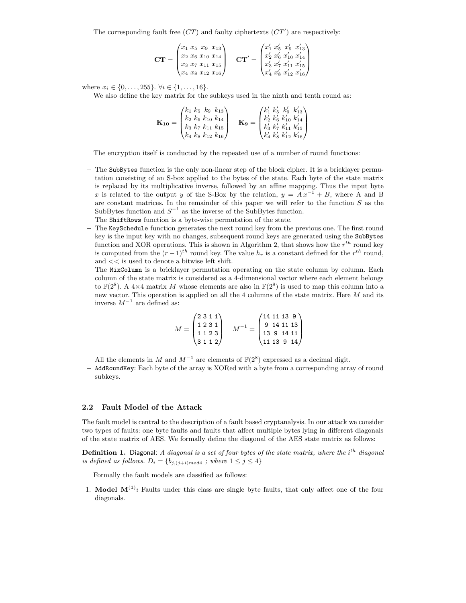The corresponding fault free  $(TT)$  and faulty ciphertexts  $(TT')$  are respectively:

$$
\mathbf{CT} = \begin{pmatrix} x_1 & x_5 & x_9 & x_{13} \\ x_2 & x_6 & x_{10} & x_{14} \\ x_3 & x_7 & x_{11} & x_{15} \\ x_4 & x_8 & x_{12} & x_{16} \end{pmatrix} \quad \mathbf{CT}' = \begin{pmatrix} x'_1 & x'_5 & x'_9 & x'_{13} \\ x'_2 & x'_6 & x'_{10} & x'_{14} \\ x'_3 & x'_7 & x'_{11} & x'_{15} \\ x'_4 & x'_8 & x'_{12} & x'_{16} \end{pmatrix}
$$

where  $x_i \in \{0, \ldots, 255\}$ .  $\forall i \in \{1, \ldots, 16\}$ .

We also define the key matrix for the subkeys used in the ninth and tenth round as:

$$
\mathbf{K}_{10} = \begin{pmatrix} k_1 & k_5 & k_9 & k_{13} \\ k_2 & k_6 & k_{10} & k_{14} \\ k_3 & k_7 & k_{11} & k_{15} \\ k_4 & k_8 & k_{12} & k_{16} \end{pmatrix} \quad \mathbf{K}_{9} = \begin{pmatrix} k'_1 & k'_5 & k'_9 & k'_{13} \\ k'_2 & k'_6 & k'_{10} & k'_{14} \\ k'_3 & k'_7 & k'_{11} & k'_{15} \\ k'_4 & k'_8 & k'_{12} & k'_{16} \end{pmatrix}
$$

The encryption itself is conducted by the repeated use of a number of round functions:

- The SubBytes function is the only non-linear step of the block cipher. It is a bricklayer permutation consisting of an S-box applied to the bytes of the state. Each byte of the state matrix is replaced by its multiplicative inverse, followed by an affine mapping. Thus the input byte x is related to the output y of the S-Box by the relation,  $y = Ax^{-1} + B$ , where A and B are constant matrices. In the remainder of this paper we will refer to the function  $S$  as the SubBytes function and  $S^{-1}$  as the inverse of the SubBytes function.
- The ShiftRows function is a byte-wise permutation of the state.
- The KeySchedule function generates the next round key from the previous one. The first round key is the input key with no changes, subsequent round keys are generated using the SubBytes function and XOR operations. This is shown in Algorithm 2, that shows how the  $r^{th}$  round key is computed from the  $(r-1)^{th}$  round key. The value  $h_r$  is a constant defined for the  $r^{th}$  round, and << is used to denote a bitwise left shift.
- The MixColumn is a bricklayer permutation operating on the state column by column. Each column of the state matrix is considered as a 4-dimensional vector where each element belongs to  $\mathbb{F}(2^8)$ . A 4×4 matrix M whose elements are also in  $\mathbb{F}(2^8)$  is used to map this column into a new vector. This operation is applied on all the 4 columns of the state matrix. Here  $M$  and its inverse  $M^{-1}$  are defined as:

$$
M = \begin{pmatrix} 2 & 3 & 1 & 1 \\ 1 & 2 & 3 & 1 \\ 1 & 1 & 2 & 3 \\ 3 & 1 & 1 & 2 \end{pmatrix} \quad M^{-1} = \begin{pmatrix} 14 & 11 & 13 & 9 \\ 9 & 14 & 11 & 13 \\ 13 & 9 & 14 & 11 \\ 11 & 13 & 9 & 14 \end{pmatrix}
$$

All the elements in M and  $M^{-1}$  are elements of  $\mathbb{F}(2^8)$  expressed as a decimal digit.

– AddRoundKey: Each byte of the array is XORed with a byte from a corresponding array of round subkeys.

#### 2.2 Fault Model of the Attack

The fault model is central to the description of a fault based cryptanalysis. In our attack we consider two types of faults: one byte faults and faults that affect multiple bytes lying in different diagonals of the state matrix of AES. We formally define the diagonal of the AES state matrix as follows:

**Definition 1.** Diagonal: A diagonal is a set of four bytes of the state matrix, where the i<sup>th</sup> diagonal is defined as follows.  $D_i = \{b_{j,(j+i) \mod 4}$ ; where  $1 \leq j \leq 4\}$ 

Formally the fault models are classified as follows:

1. Model  $M^{(1)}$ : Faults under this class are single byte faults, that only affect one of the four diagonals.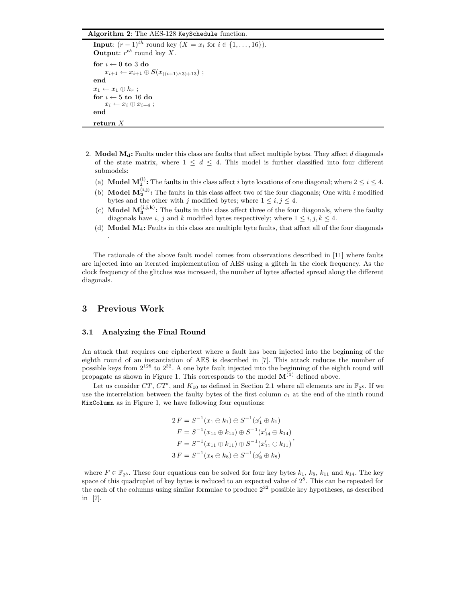#### Algorithm 2: The AES-128 KeySchedule function.

```
Input: (r-1)^{th} round key (X = x_i \text{ for } i \in \{1, ..., 16\}).
Output: r^{th} round key X.
for i \leftarrow 0 to 3 do
     x_{i+1} \leftarrow x_{i+1} \oplus S(x_{((i+1)\wedge 3)+13});
end
x_1 \leftarrow x_1 \oplus h_r;
for i \leftarrow 5 to 16 do
     x_i \leftarrow x_i \oplus x_{i-4};
end
return X
```
- 2. Model  $\mathbf{M}_d$ : Faults under this class are faults that affect multiple bytes. They affect d diagonals of the state matrix, where  $1 \leq d \leq 4$ . This model is further classified into four different submodels:
	- (a) **Model M**<sup>(i)</sup>: The faults in this class affect i byte locations of one diagonal; where  $2 \le i \le 4$ .
	- (b) **Model**  $M_2^{(i,j)}$ **:** The faults in this class affect two of the four diagonals; One with i modified bytes and the other with j modified bytes; where  $1 \leq i, j \leq 4$ .
	- (c) **Model**  $M_3^{(i,j,k)}$ **:** The faults in this class affect three of the four diagonals, where the faulty diagonals have i, j and k modified bytes respectively; where  $1 \leq i, j, k \leq 4$ .
	- (d) Model M4: Faults in this class are multiple byte faults, that affect all of the four diagonals

The rationale of the above fault model comes from observations described in [11] where faults are injected into an iterated implementation of AES using a glitch in the clock frequency. As the clock frequency of the glitches was increased, the number of bytes affected spread along the different diagonals.

#### 3 Previous Work

.

#### 3.1 Analyzing the Final Round

An attack that requires one ciphertext where a fault has been injected into the beginning of the eighth round of an instantiation of AES is described in [7]. This attack reduces the number of possible keys from  $2^{128}$  to  $2^{32}$ . A one byte fault injected into the beginning of the eighth round will propagate as shown in Figure 1. This corresponds to the model  $M^{(1)}$  defined above.

Let us consider CT, CT', and  $K_{10}$  as defined in Section 2.1 where all elements are in  $\mathbb{F}_{2^8}$ . If we use the interrelation between the faulty bytes of the first column  $c_1$  at the end of the ninth round MixColumn as in Figure 1, we have following four equations:

$$
2 F = S^{-1}(x_1 \oplus k_1) \oplus S^{-1}(x'_1 \oplus k_1)
$$
  
\n
$$
F = S^{-1}(x_{14} \oplus k_{14}) \oplus S^{-1}(x'_{14} \oplus k_{14})
$$
  
\n
$$
F = S^{-1}(x_{11} \oplus k_{11}) \oplus S^{-1}(x'_{11} \oplus k_{11})
$$
  
\n
$$
3 F = S^{-1}(x_8 \oplus k_8) \oplus S^{-1}(x'_8 \oplus k_8)
$$

where  $F \in \mathbb{F}_{2^8}$ . These four equations can be solved for four key bytes  $k_1$ ,  $k_8$ ,  $k_{11}$  and  $k_{14}$ . The key space of this quadruplet of key bytes is reduced to an expected value of  $2^8$ . This can be repeated for the each of the columns using similar formulae to produce  $2^{32}$  possible key hypotheses, as described in [7].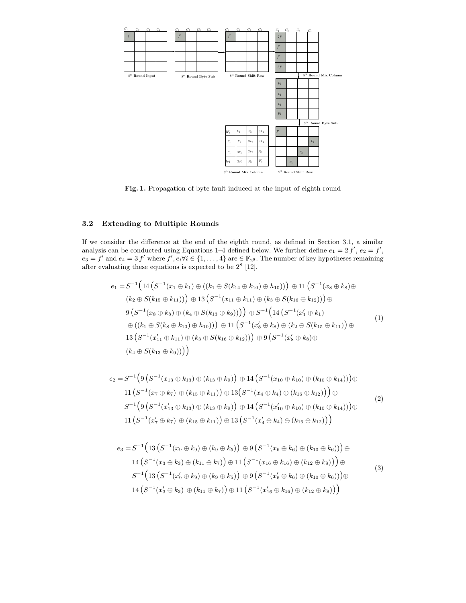

Fig. 1. Propagation of byte fault induced at the input of eighth round

#### 3.2 Extending to Multiple Rounds

If we consider the difference at the end of the eighth round, as defined in Section 3.1, a similar analysis can be conducted using Equations 1–4 defined below. We further define  $e_1 = 2 f'$ ,  $e_2 = f'$ ,  $e_3 = f'$  and  $e_4 = 3 f'$  where  $f', e_i \forall i \in \{1, ..., 4\}$  are  $\in \mathbb{F}_{2^8}$ . The number of key hypotheses remaining after evaluating these equations is expected to be  $2^8$  [12].

$$
e_1 = S^{-1} \Big( 14 \left( S^{-1} (x_1 \oplus k_1) \oplus ((k_1 \oplus S(k_{14} \oplus k_{10}) \oplus h_{10})) \right) \oplus 11 \left( S^{-1} (x_8 \oplus k_8) \oplus (k_2 \oplus S(k_{15} \oplus k_{11})) \right) \oplus 13 \left( S^{-1} (x_{11} \oplus k_{11}) \oplus (k_3 \oplus S(k_{16} \oplus k_{12})) \right) \oplus (S^{-1} (x_8 \oplus k_8) \oplus (k_4 \oplus S(k_{13} \oplus k_9))) \Big) \oplus S^{-1} \Big( 14 \left( S^{-1} (x_1' \oplus k_1) \right) \oplus \left( (k_1 \oplus S(k_8 \oplus k_{10}) \oplus h_{10}) \right) \Big) \oplus 11 \left( S^{-1} (x_8' \oplus k_8) \oplus (k_2 \oplus S(k_{15} \oplus k_{11})) \right) \oplus (S^{-1} (x_1' \oplus k_1) \oplus (k_3 \oplus S(k_{16} \oplus k_{12})) \Big) \oplus 9 \left( S^{-1} (x_8' \oplus k_8) \oplus (k_4 \oplus S(k_{13} \oplus k_9)) \right) \Big)
$$
\n
$$
(k_4 \oplus S(k_{13} \oplus k_9)) \Big)
$$
\n
$$
(k_5 \oplus k_1' \oplus (k_2 \oplus k_{12}))
$$

$$
e_2 = S^{-1} \Big( 9 \left( S^{-1} (x_{13} \oplus k_{13}) \oplus (k_{13} \oplus k_{9}) \right) \oplus 14 \left( S^{-1} (x_{10} \oplus k_{10}) \oplus (k_{10} \oplus k_{14}) \right) \Big) \oplus 11 \left( S^{-1} (x_7 \oplus k_7) \oplus (k_{15} \oplus k_{11}) \right) \oplus 13 \left( S^{-1} (x_4 \oplus k_4) \oplus (k_{16} \oplus k_{12}) \right) \Big) \oplus S^{-1} \Big( 9 \left( S^{-1} (x'_{13} \oplus k_{13}) \oplus (k_{13} \oplus k_{9}) \right) \oplus 14 \left( S^{-1} (x'_{10} \oplus k_{10}) \oplus (k_{10} \oplus k_{14}) \right) \Big) \oplus 11 \left( S^{-1} (x'_{7} \oplus k_{7}) \oplus (k_{15} \oplus k_{11}) \right) \oplus 13 \left( S^{-1} (x'_{4} \oplus k_{4}) \oplus (k_{16} \oplus k_{12}) \right) \Big)
$$
(2)

$$
e_3 = S^{-1} \Big( 13 \left( S^{-1} (x_9 \oplus k_9) \oplus (k_9 \oplus k_5) \right) \oplus 9 \left( S^{-1} (x_6 \oplus k_6) \oplus (k_{10} \oplus k_6) \right) \Big) \oplus
$$
  
\n
$$
14 \left( S^{-1} (x_3 \oplus k_3) \oplus (k_{11} \oplus k_7) \right) \oplus 11 \left( S^{-1} (x_{16} \oplus k_{16}) \oplus (k_{12} \oplus k_8) \right) \Big) \oplus
$$
  
\n
$$
S^{-1} \Big( 13 \left( S^{-1} (x_9' \oplus k_9) \oplus (k_9 \oplus k_5) \right) \oplus 9 \left( S^{-1} (x_6' \oplus k_6) \oplus (k_{10} \oplus k_6) \right) \Big) \oplus
$$
  
\n
$$
14 \left( S^{-1} (x_3' \oplus k_3) \oplus (k_{11} \oplus k_7) \right) \oplus 11 \left( S^{-1} (x_{16}' \oplus k_{16}) \oplus (k_{12} \oplus k_8) \right) \Big)
$$
  
\n(3)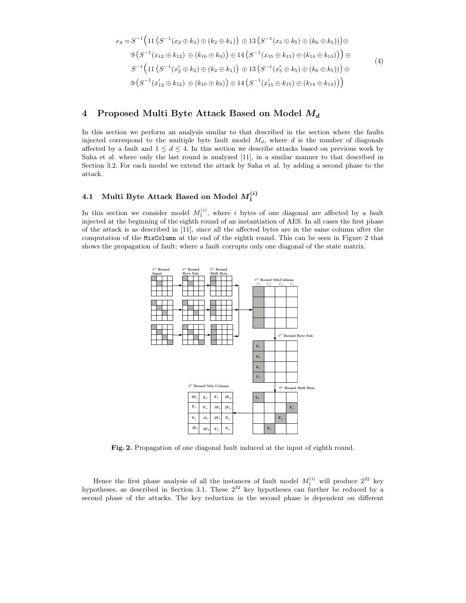$$
e_4 = S^{-1} \Big( 11 \left( S^{-1} (x_2 \oplus k_2) \oplus (k_2 \oplus k_1) \right) \oplus 13 \left( S^{-1} (x_5 \oplus k_5) \oplus (k_6 \oplus k_5) \right) \Big) \oplus 9 \left( S^{-1} (x_{12} \oplus k_{12}) \oplus (k_{10} \oplus k_9) \right) \oplus 14 \left( S^{-1} (x_{15} \oplus k_{15}) \oplus (k_{14} \oplus k_{13}) \right) \Big) \oplus S^{-1} \Big( 11 \left( S^{-1} (x_2' \oplus k_2) \oplus (k_2 \oplus k_1) \right) \oplus 13 \left( S^{-1} (x_5' \oplus k_5) \oplus (k_6 \oplus k_5) \right) \Big) \oplus 9 \left( S^{-1} (x_{12}' \oplus k_{12}) \oplus (k_{10} \oplus k_9) \right) \oplus 14 \left( S^{-1} (x_{15}' \oplus k_{15}) \oplus (k_{14} \oplus k_{13}) \right) \Big)
$$
(4)

## 4 Proposed Multi Byte Attack Based on Model  $M_d$

In this section we perform an analysis similar to that described in the section where the faults injected correspond to the multiple byte fault model  $M_d$ , where d is the number of diagonals affected by a fault and  $1 \leq d \leq 4$ . In this section we describe attacks based on previous work by Saha et al. where only the last round is analyzed [11], in a similar manner to that described in Section 3.2. For each model we extend the attack by Saha et al. by adding a second phase to the attack.

## 4.1 Multi Byte Attack Based on Model  $M_1^{(i)}$

In this section we consider model  $M_1^{(i)}$ , where i bytes of one diagonal are affected by a fault injected at the beginning of the eighth round of an instantiation of AES. In all cases the first phase of the attack is as described in [11], since all the affected bytes are in the same column after the computation of the MixColumn at the end of the eighth round. This can be seen in Figure 2 that shows the propagation of fault; where a fault corrupts only one diagonal of the state matrix.



Fig. 2. Propagation of one diagonal fault induced at the input of eighth round.

Hence the first phase analysis of all the instances of fault model  $M_1^{(i)}$  will produce  $2^{32}$  key hypotheses, as described in Section 3.1. These  $2^{32}$  key hypotheses can further be reduced by a second phase of the attacks. The key reduction in the second phase is dependent on different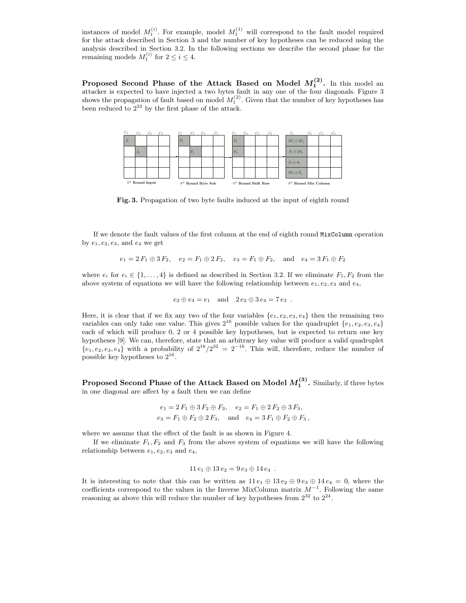instances of model  $M_1^{(i)}$ . For example, model  $M_1^{(1)}$  will correspond to the fault model required for the attack described in Section 3 and the number of key hypotheses can be reduced using the analysis described in Section 3.2. In the following sections we describe the second phase for the remaining models  $M_1^{(i)}$  for  $2 \le i \le 4$ .

Proposed Second Phase of the Attack Based on Model  $M_1^{(2)}$ . In this model an attacker is expected to have injected a two bytes fault in any one of the four diagonals. Figure 3 shows the propagation of fault based on model  $M_1^{(2)}$ . Given that the number of key hypotheses has been reduced to  $2^{32}$  by the first phase of the attack.



Fig. 3. Propagation of two byte faults induced at the input of eighth round

If we denote the fault values of the first column at the end of eighth round MixColumn operation by  $e_1, e_2, e_3$ , and  $e_4$  we get

$$
e_1 = 2 F_1 \oplus 3 F_2
$$
,  $e_2 = F_1 \oplus 2 F_2$ ,  $e_3 = F_1 \oplus F_2$ , and  $e_4 = 3 F_1 \oplus F_2$ 

where  $e_i$  for  $e_i \in \{1, \ldots, 4\}$  is defined as described in Section 3.2. If we eliminate  $F_1, F_2$  from the above system of equations we will have the following relationship between  $e_1, e_2, e_3$  and  $e_4$ ,

$$
e_2 \oplus e_4 = e_1
$$
 and  $2e_2 \oplus 3e_4 = 7e_3$ .

Here, it is clear that if we fix any two of the four variables  $\{e_1, e_2, e_3, e_4\}$  then the remaining two variables can only take one value. This gives  $2^{16}$  possible values for the quadruplet  $\{e_1, e_2, e_3, e_4\}$ each of which will produce 0, 2 or 4 possible key hypotheses, but is expected to return one key hypotheses [9]. We can, therefore, state that an arbitrary key value will produce a valid quadruplet  ${e_1, e_2, e_3, e_4}$  with a probability of  $2^{16}/2^{32} = 2^{-16}$ . This will, therefore, reduce the number of possible key hypotheses to  $2^{16}$ .

Proposed Second Phase of the Attack Based on Model  $M_1^{(3)}$ . Similarly, if three bytes in one diagonal are affect by a fault then we can define

$$
e_1 = 2 F_1 \oplus 3 F_2 \oplus F_3
$$
,  $e_2 = F_1 \oplus 2 F_2 \oplus 3 F_3$ ,  
\n $e_3 = F_1 \oplus F_2 \oplus 2 F_3$ , and  $e_4 = 3 F_1 \oplus F_2 \oplus F_3$ ,

where we assume that the effect of the fault is as shown in Figure 4.

If we eliminate  $F_1, F_2$  and  $F_3$  from the above system of equations we will have the following relationship between  $e_1, e_2, e_3$  and  $e_4$ ,

$$
11 e_1 \oplus 13 e_2 = 9 e_3 \oplus 14 e_4.
$$

It is interesting to note that this can be written as  $11 e_1 \oplus 13 e_2 \oplus 9 e_3 \oplus 14 e_4 = 0$ , where the coefficients correspond to the values in the Inverse MixColumn matrix  $M^{-1}$ . Following the same reasoning as above this will reduce the number of key hypotheses from  $2^{32}$  to  $2^{24}$ .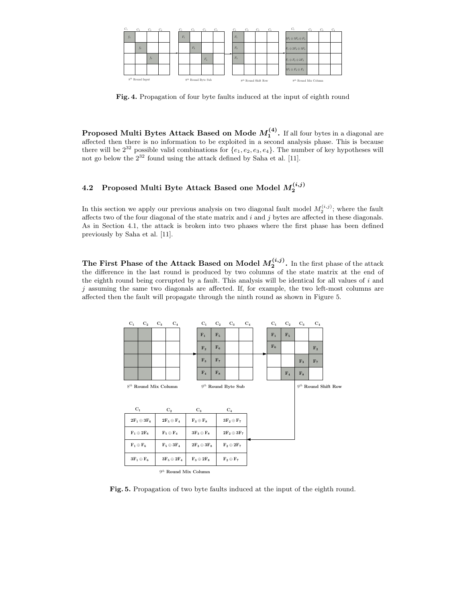

Fig. 4. Propagation of four byte faults induced at the input of eighth round

**Proposed Multi Bytes Attack Based on Mode**  $M_1^{(4)}$ **.** If all four bytes in a diagonal are affected then there is no information to be exploited in a second analysis phase. This is because there will be  $2^{32}$  possible valid combinations for  $\{e_1, e_2, e_3, e_4\}$ . The number of key hypotheses will not go below the  $2^{32}$  found using the attack defined by Saha et al. [11].

## 4.2 Proposed Multi Byte Attack Based one Model  $M_{2}^{\left( i,j\right) }$

In this section we apply our previous analysis on two diagonal fault model  $M_2^{(i,j)}$ ; where the fault affects two of the four diagonal of the state matrix and  $i$  and  $j$  bytes are affected in these diagonals. As in Section 4.1, the attack is broken into two phases where the first phase has been defined previously by Saha et al. [11].

The First Phase of the Attack Based on Model  $M_2^{(i,j)}$ . In the first phase of the attack the difference in the last round is produced by two columns of the state matrix at the end of the eighth round being corrupted by a fault. This analysis will be identical for all values of  $i$  and  $j$  assuming the same two diagonals are affected. If, for example, the two left-most columns are affected then the fault will propagate through the ninth round as shown in Figure 5.

| $C_1$ | $C_{2}$                             | $C_3$ | $C_4$                              |                           | $C_1$              | $C_{2}$            | $C_3$                   | $C_4$ | $C_1$ | $C_{2}$        | $C_3$          | $C_4$          |                          |
|-------|-------------------------------------|-------|------------------------------------|---------------------------|--------------------|--------------------|-------------------------|-------|-------|----------------|----------------|----------------|--------------------------|
|       |                                     |       |                                    |                           | $F_1$              | $F_5$              |                         |       | $F_1$ | F <sub>5</sub> |                |                |                          |
|       |                                     |       |                                    |                           | F <sub>2</sub>     | $F_6$              |                         |       | $F_6$ |                |                | F <sub>2</sub> |                          |
|       |                                     |       |                                    |                           | $F_3$              | F <sub>7</sub>     |                         |       |       |                | $F_3$          | $F_7$          |                          |
|       |                                     |       |                                    |                           | $F_4$              | $F_8$              |                         |       |       | $F_4$          | $\mathbf{F}_8$ |                |                          |
|       | $8^{th}$ Round Mix Column           |       |                                    |                           |                    |                    | $9^{th}$ Round Byte Sub |       |       |                |                |                | $9^{th}$ Round Shift Row |
|       |                                     |       |                                    |                           |                    |                    |                         |       |       |                |                |                |                          |
| $C_1$ |                                     |       | $\mathrm{C}_2$                     |                           | $\mathrm{C}_3$     |                    | $\mathrm{C}_4$          |       |       |                |                |                |                          |
|       | $2F_1 \oplus 3F_6$                  |       | $2F_5\oplus F_4$                   |                           | $F_3 \oplus F_8$   |                    | $3F_2 \oplus F_7$       |       |       |                |                |                |                          |
|       | $\mathbf{F_1} \oplus \mathbf{2F_6}$ |       | $\mathbf{F}_5\oplus\mathbf{F}_4$   |                           | $3F_3 \oplus F_8$  | $2F_2 \oplus 3F_7$ |                         |       |       |                |                |                |                          |
|       | $\mathbf{F}_1\oplus\mathbf{F}_6$    |       | $\mathbf{F}_5\oplus 3\mathbf{F}_4$ |                           | $2F_3 \oplus 3F_8$ |                    | $F_2 \oplus 2F_7$       |       |       |                |                |                |                          |
|       | $3F_1\oplus F_6$                    |       | $3F_5\oplus 2F_4$                  |                           | $F_3 \oplus 2F_8$  |                    | $F_2 \oplus F_7$        |       |       |                |                |                |                          |
|       |                                     |       |                                    | $9^{th}$ Round Mix Column |                    |                    |                         |       |       |                |                |                |                          |

Fig. 5. Propagation of two byte faults induced at the input of the eighth round.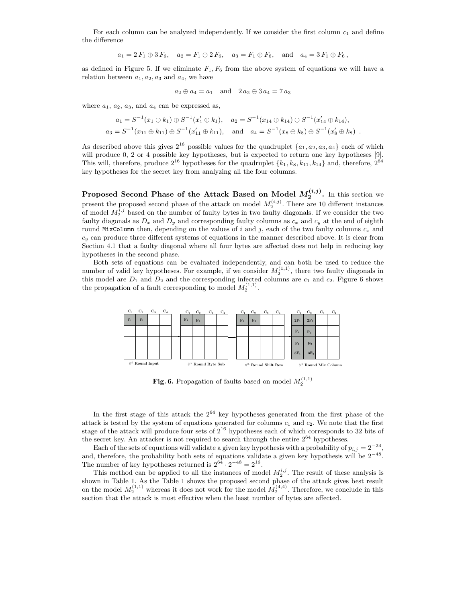For each column can be analyzed independently. If we consider the first column  $c_1$  and define the difference

$$
a_1 = 2 F_1 \oplus 3 F_6
$$
,  $a_2 = F_1 \oplus 2 F_6$ ,  $a_3 = F_1 \oplus F_6$ , and  $a_4 = 3 F_1 \oplus F_6$ ,

as defined in Figure 5. If we eliminate  $F_1, F_6$  from the above system of equations we will have a relation between  $a_1, a_2, a_3$  and  $a_4$ , we have

$$
a_2 \oplus a_4 = a_1
$$
 and  $2 a_2 \oplus 3 a_4 = 7 a_3$ 

where  $a_1, a_2, a_3$ , and  $a_4$  can be expressed as,

$$
a_1 = S^{-1}(x_1 \oplus k_1) \oplus S^{-1}(x'_1 \oplus k_1), \quad a_2 = S^{-1}(x_{14} \oplus k_{14}) \oplus S^{-1}(x'_{14} \oplus k_{14}),
$$
  
\n
$$
a_3 = S^{-1}(x_{11} \oplus k_{11}) \oplus S^{-1}(x'_{11} \oplus k_{11}), \quad \text{and} \quad a_4 = S^{-1}(x_8 \oplus k_8) \oplus S^{-1}(x'_8 \oplus k_8) \ .
$$

As described above this gives  $2^{16}$  possible values for the quadruplet  $\{a_1, a_2, a_3, a_4\}$  each of which will produce 0, 2 or 4 possible key hypotheses, but is expected to return one key hypotheses [9]. This will, therefore, produce  $2^{16}$  hypotheses for the quadruplet  $\{k_1, k_8, k_{11}, k_{14}\}$  and, therefore,  $2^{64}$ key hypotheses for the secret key from analyzing all the four columns.

Proposed Second Phase of the Attack Based on Model  $M_2^{(i,j)}$ . In this section we present the proposed second phase of the attack on model  $M_2^{(i,j)}$ . There are 10 different instances of model  $M_2^{i,j}$  based on the number of faulty bytes in two faulty diagonals. If we consider the two faulty diagonals as  $D_x$  and  $D_y$  and corresponding faulty columns as  $c_x$  and  $c_y$  at the end of eighth round MixColumn then, depending on the values of i and j, each of the two faulty columns  $c_x$  and  $c_y$  can produce three different systems of equations in the manner described above. It is clear from Section 4.1 that a faulty diagonal where all four bytes are affected does not help in reducing key hypotheses in the second phase.

Both sets of equations can be evaluated independently, and can both be used to reduce the number of valid key hypotheses. For example, if we consider  $M_2^{(1,1)}$ , there two faulty diagonals in this model are  $D_1$  and  $D_2$  and the corresponding infected columns are  $c_1$  and  $c_2$ . Figure 6 shows the propagation of a fault corresponding to model  $M_2^{(1,1)}$ .



Fig. 6. Propagation of faults based on model  $M_2^{(1,1)}$ 

In the first stage of this attack the  $2^{64}$  key hypotheses generated from the first phase of the attack is tested by the system of equations generated for columns  $c_1$  and  $c_2$ . We note that the first stage of the attack will produce four sets of  $2^{16}$  hypotheses each of which corresponds to 32 bits of the secret key. An attacker is not required to search through the entire 2<sup>64</sup> hypotheses.

Each of the sets of equations will validate a given key hypothesis with a probability of  $p_{i,j} = 2^{-24}$ , and, therefore, the probability both sets of equations validate a given key hypothesis will be  $2^{-48}$ . The number of key hypotheses returned is  $2^{64} \cdot 2^{-48} = 2^{16}$ .

This method can be applied to all the instances of model  $M_2^{i,j}$ . The result of these analysis is shown in Table 1. As the Table 1 shows the proposed second phase of the attack gives best result on the model  $M_2^{(1,1)}$  whereas it does not work for the model  $M_2^{(4,4)}$ . Therefore, we conclude in this section that the attack is most effective when the least number of bytes are affected.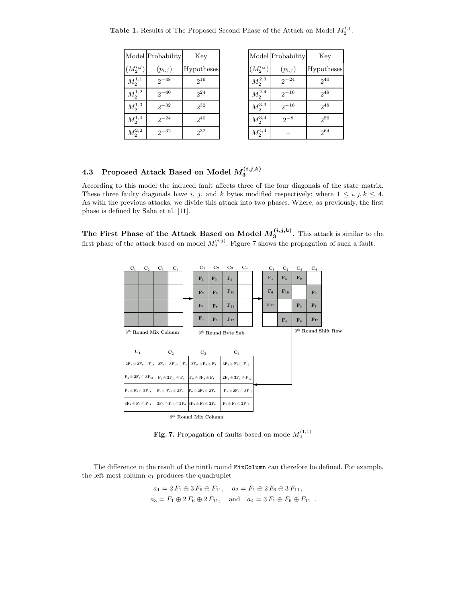| <b>Table 1.</b> Results of The Proposed Second Phase of the Attack on Model $M_2^{i,j}$ . |  |  |
|-------------------------------------------------------------------------------------------|--|--|
|-------------------------------------------------------------------------------------------|--|--|

|                    | Model Probability | Key        |
|--------------------|-------------------|------------|
| $(M_2^{i,j})$      | $(p_{i,j})$       | Hypotheses |
| $M^{1,1}_{2}$      | $2^{-48}$         | $2^{16}$   |
| ${\cal M}_2^{1,2}$ | $2^{-40}$         | $2^{24}$   |
| ${\cal M}_2^{1,3}$ | $2^{-32}$         | $2^{32}$   |
| $M_2^{1,4}$        | $2^{-24}$         | $2^{40}$   |
| $M^{2,2}_2$        | $2^{-32}$         | $2^{32}$   |

|                      | Model Probability | Key        |
|----------------------|-------------------|------------|
| $(M^{i,j}_2)$        | $(p_{i,j})$       | Hypotheses |
| ${\cal M}_2^{2,3}$   | $2^{-24}$         | $2^{40}$   |
| ${\cal M}_2^{2,4}$   | $2^{-16}$         | $2^{48}$   |
| $M_2^{3,3}$          | $2^{-16}$         | $2^{48}$   |
| ${\cal M}_2^{3,4}$   | $2^{-8}$          | $2^{56}$   |
| $M_\mathrm{2}^{4,4}$ |                   | $2^{64}$   |

## 4.3 Proposed Attack Based on Model  $M^{(i,j,k)}_3$

According to this model the induced fault affects three of the four diagonals of the state matrix. These three faulty diagonals have i, j, and k bytes modified respectively; where  $1 \leq i, j, k \leq 4$ . As with the previous attacks, we divide this attack into two phases. Where, as previously, the first phase is defined by Saha et al. [11].

The First Phase of the Attack Based on Model  $M_3^{(i,j,k)}$ . This attack is similar to the first phase of the attack based on model  $M_2^{(i,j)}$ . Figure 7 shows the propagation of such a fault.

| $C_1$                                                       | $\mathrm{C}_2$            | $\underline{\mathrm{C}_3}$ | $\mathrm{C}_4$                                                                                                         | $C_1$                | $C_{2}$          | $C_3$                                                   | $C_4$ |  | $C_1$    | $C_{2}$        | $C_3$            | $C_4$          |                          |
|-------------------------------------------------------------|---------------------------|----------------------------|------------------------------------------------------------------------------------------------------------------------|----------------------|------------------|---------------------------------------------------------|-------|--|----------|----------------|------------------|----------------|--------------------------|
|                                                             |                           |                            |                                                                                                                        | $F_1$                | $F_5$            | $\mathbf{F}_{9}$                                        |       |  | $F_1$    | F <sub>5</sub> | $\mathbf{F}_{9}$ |                |                          |
|                                                             |                           |                            |                                                                                                                        | F <sub>2</sub>       | $\mathbf{F}_6$   | $F_{10}$                                                |       |  | $F_6$    | $F_{10}$       |                  | $\mathrm{F}_2$ |                          |
|                                                             |                           |                            |                                                                                                                        | $F_3$                | $\mathbf{F}_{7}$ | $F_{11}$                                                |       |  | $F_{11}$ |                | $F_3$            | F <sub>7</sub> |                          |
|                                                             |                           |                            |                                                                                                                        | $\mathbf{F}_4$       | $\mathbf{F}_8$   | $F_{12}$                                                |       |  |          | $\mathbf{F}_4$ | $\mathbf{F}_8$   | $F_{12}$       |                          |
|                                                             | $8^{th}$ Round Mix Column |                            |                                                                                                                        | $9th$ Round Byte Sub |                  |                                                         |       |  |          |                |                  |                | $9^{th}$ Round Shift Row |
|                                                             |                           |                            |                                                                                                                        |                      |                  |                                                         |       |  |          |                |                  |                |                          |
| $C_1$                                                       |                           |                            | $C_{2}$                                                                                                                | $C_3$                |                  | $\mathrm{C}_4$                                          |       |  |          |                |                  |                |                          |
|                                                             |                           |                            | $2F_1 \oplus 3F_6 \oplus F_{11} \hspace{.1cm} 2F_5 \oplus 3F_{10} \oplus F_4 \hspace{.1cm} 2F_9 \oplus F_3 \oplus F_8$ |                      |                  | $3F_2 \oplus F_7 \oplus F_{12}$                         |       |  |          |                |                  |                |                          |
| $\mathbf{F_1} \oplus \mathbf{2F_6} \oplus \mathbf{3F_{11}}$ |                           |                            | $\mathbf{F}_5 \oplus 2\mathbf{F}_{10} \oplus \mathbf{F}_4$ $\mathbf{F}_9 \oplus 3\mathbf{F}_3 \oplus \mathbf{F}_8$     |                      |                  | $2F_2 \oplus 3F_7 \oplus F_{12}$                        |       |  |          |                |                  |                |                          |
| $F_1 \oplus F_6 \oplus 2F_{11}$                             |                           |                            | $\mathbf{F}_5 \oplus \mathbf{F}_{10} \oplus 3\mathbf{F}_4$ $\mathbf{F}_9 \oplus 2\mathbf{F}_3 \oplus 3\mathbf{F}_8$    |                      |                  | $\mathrm{F}_2\oplus2\mathrm{F}_7\oplus3\mathrm{F}_{12}$ |       |  |          |                |                  |                |                          |
| $3F_1 \oplus F_6 \oplus F_{11}$                             |                           |                            | $3F_5 \oplus F_{10} \oplus 2F_4$ $3F_9 \oplus F_3 \oplus 2F_8$                                                         |                      |                  | $\mathrm{F}_2\oplus\mathrm{F}_7\oplus2\mathrm{F}_{12}$  |       |  |          |                |                  |                |                          |
|                                                             |                           |                            | $9th$ Round Mix Column                                                                                                 |                      |                  |                                                         |       |  |          |                |                  |                |                          |

Fig. 7. Propagation of faults based on mode  $M_2^{(1,1)}$ 

The difference in the result of the ninth round MixColumn can therefore be defined. For example, the left most column  $c_1$  produces the quadruplet

$$
a_1 = 2 F_1 \oplus 3 F_6 \oplus F_{11}, \quad a_2 = F_1 \oplus 2 F_6 \oplus 3 F_{11},
$$
  
\n $a_3 = F_1 \oplus 2 F_6 \oplus 2 F_{11}, \quad \text{and} \quad a_4 = 3 F_1 \oplus F_6 \oplus F_{11} .$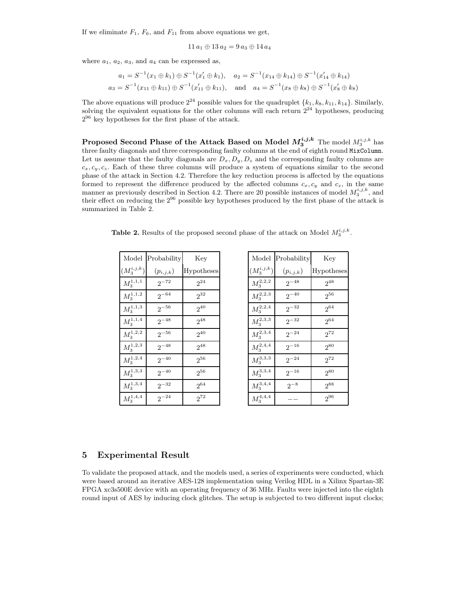If we eliminate  $F_1$ ,  $F_6$ , and  $F_{11}$  from above equations we get,

$$
11\,a_1 \oplus 13\,a_2 = 9\,a_3 \oplus 14\,a_4
$$

where  $a_1, a_2, a_3$ , and  $a_4$  can be expressed as,

$$
a_1 = S^{-1}(x_1 \oplus k_1) \oplus S^{-1}(x'_1 \oplus k_1), \quad a_2 = S^{-1}(x_{14} \oplus k_{14}) \oplus S^{-1}(x'_{14} \oplus k_{14})
$$
  

$$
a_3 = S^{-1}(x_{11} \oplus k_{11}) \oplus S^{-1}(x'_{11} \oplus k_{11}), \quad \text{and} \quad a_4 = S^{-1}(x_8 \oplus k_8) \oplus S^{-1}(x'_8 \oplus k_8)
$$

The above equations will produce  $2^{24}$  possible values for the quadruplet  $\{k_1, k_8, k_{11}, k_{14}\}$ . Similarly, solving the equivalent equations for the other columns will each return  $2^{24}$  hypotheses, producing  $2^{96}$  key hypotheses for the first phase of the attack.

<code>Proposed Second Phase of the Attack Based on Model  $M^{i,j,k}_{3}$  The model  $M^{i,j,k}_{3}$  has</code> three faulty diagonals and three corresponding faulty columns at the end of eighth round MixColumn. Let us assume that the faulty diagonals are  $D_x, D_y, D_z$  and the corresponding faulty columns are  $c_x, c_y, c_z$ . Each of these three columns will produce a system of equations similar to the second phase of the attack in Section 4.2. Therefore the key reduction process is affected by the equations formed to represent the difference produced by the affected columns  $c_x$ ,  $c_y$  and  $c_z$ , in the same manner as previously described in Section 4.2. There are 20 possible instances of model  $M_3^{i,j,k}$ , and their effect on reducing the 2<sup>96</sup> possible key hypotheses produced by the first phase of the attack is summarized in Table 2.

**Table 2.** Results of the proposed second phase of the attack on Model  $M_3^{i,j,k}$ .

| Model                | Probability   | Key        |
|----------------------|---------------|------------|
| $(M_3^{i,j,k})$      | $(p_{i,j,k})$ | Hypotheses |
| $M^{1,1,1}_3$        | $2^{-72}$     | $2^{24}$   |
| $M_3^{1,1,2}$        | $2^{-64}$     | $2^{32}$   |
| ${\cal M}_3^{1,1,3}$ | $2^{-56}$     | $2^{40}$   |
| $M^{1,1,4}_3$        | $2^{-48}$     | $2^{48}$   |
| $M_3^{1,2,2}$        | $2^{-56}$     | $2^{40}$   |
| $M_3^{1,2,3}$        | $2^{-48}$     | $2^{48}$   |
| $M_3^{1,2,4}$        | $2^{-40}$     | $2^{56}$   |
| $M_3^{1,3,3}$        | $2^{-40}$     | $2^{56}$   |
| $M^{1,3,4}_{3}$      | $2^{-32}$     | $2^{64}$   |
| $M^{1,4,4}_3$        | $2^{-24}$     | $2^{72}$   |

| Model           | Probability   | Key        |
|-----------------|---------------|------------|
| $(M^{i,j,k}_3)$ | $(p_{i,j,k})$ | Hypotheses |
| $M_3^{2,2,2}$   | $2^{-48}$     | $2^{48}$   |
| $M_3^{2,2,3}$   | $2^{-40}$     | $2^{56}$   |
| $M_{3}^{2,2,4}$ | $2^{-32}$     | $2^{64}$   |
| $M_3^{2,3,3}$   | $2^{-32}$     | $2^{64}$   |
| $M^{2,3,4}_{3}$ | $2^{-24}$     | $2^{72}$   |
| $M_3^{2,4,4}$   | $2^{-16}$     | $2^{80}$   |
| $M_3^{3,3,3}$   | $2^{-24}$     | $2^{72}$   |
| $M_3^{3,3,4}$   | $2^{-16}$     | $2^{80}$   |
| $M_3^{3,4,4}$   | $2^{-8}$      | $2^{88}$   |
| $M^{4,4,4}_3$   |               | $2^{96}$   |

#### 5 Experimental Result

To validate the proposed attack, and the models used, a series of experiments were conducted, which were based around an iterative AES-128 implementation using Verilog HDL in a Xilinx Spartan-3E FPGA xc3s500E device with an operating frequency of 36 MHz. Faults were injected into the eighth round input of AES by inducing clock glitches. The setup is subjected to two different input clocks;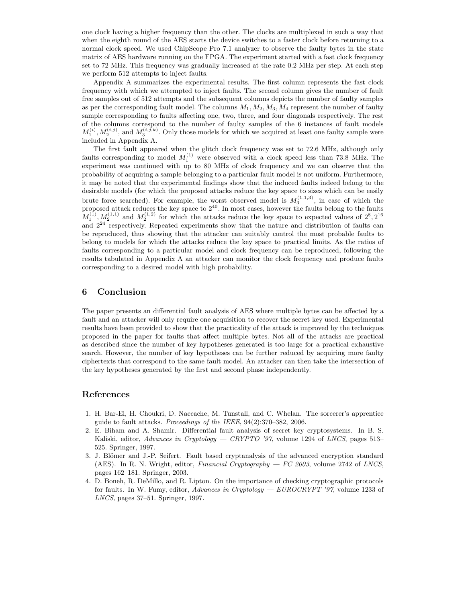one clock having a higher frequency than the other. The clocks are multiplexed in such a way that when the eighth round of the AES starts the device switches to a faster clock before returning to a normal clock speed. We used ChipScope Pro 7.1 analyzer to observe the faulty bytes in the state matrix of AES hardware running on the FPGA. The experiment started with a fast clock frequency set to 72 MHz. This frequency was gradually increased at the rate 0.2 MHz per step. At each step we perform 512 attempts to inject faults.

Appendix A summarizes the experimental results. The first column represents the fast clock frequency with which we attempted to inject faults. The second column gives the number of fault free samples out of 512 attempts and the subsequent columns depicts the number of faulty samples as per the corresponding fault model. The columns  $M_1, M_2, M_3, M_4$  represent the number of faulty sample corresponding to faults affecting one, two, three, and four diagonals respectively. The rest of the columns correspond to the number of faulty samples of the 6 instances of fault models  $M_1^{(i)}, M_2^{(i,j)}$ , and  $M_3^{(i,j,k)}$ . Only those models for which we acquired at least one faulty sample were included in Appendix A.

The first fault appeared when the glitch clock frequency was set to 72.6 MHz, although only faults corresponding to model  $M_1^{(1)}$  were observed with a clock speed less than 73.8 MHz. The experiment was continued with up to 80 MHz of clock frequency and we can observe that the probability of acquiring a sample belonging to a particular fault model is not uniform. Furthermore, it may be noted that the experimental findings show that the induced faults indeed belong to the desirable models (for which the proposed attacks reduce the key space to sizes which can be easily brute force searched). For example, the worst observed model is  $M_3^{(1,1,3)}$ , in case of which the proposed attack reduces the key space to  $2^{40}$ . In most cases, however the faults belong to the faults proposed attack reduces the key space to  $2^{40}$ . In most cases, however the faults belong to the faults  $M_1^{(1)}, M_2^{(1,1)}$  and  $M_2^{(1,2)}$  for which the attacks reduce the key space to expected values of  $2^8, 2^{16}$ and  $2^{24}$  respectively. Repeated experiments show that the nature and distribution of faults can be reproduced, thus showing that the attacker can suitably control the most probable faults to belong to models for which the attacks reduce the key space to practical limits. As the ratios of faults corresponding to a particular model and clock frequency can be reproduced, following the results tabulated in Appendix A an attacker can monitor the clock frequency and produce faults corresponding to a desired model with high probability.

#### 6 Conclusion

The paper presents an differential fault analysis of AES where multiple bytes can be affected by a fault and an attacker will only require one acquisition to recover the secret key used. Experimental results have been provided to show that the practicality of the attack is improved by the techniques proposed in the paper for faults that affect multiple bytes. Not all of the attacks are practical as described since the number of key hypotheses generated is too large for a practical exhaustive search. However, the number of key hypotheses can be further reduced by acquiring more faulty ciphertexts that correspond to the same fault model. An attacker can then take the intersection of the key hypotheses generated by the first and second phase independently.

### References

- 1. H. Bar-El, H. Choukri, D. Naccache, M. Tunstall, and C. Whelan. The sorcerer's apprentice guide to fault attacks. Proceedings of the IEEE, 94(2):370–382, 2006.
- 2. E. Biham and A. Shamir. Differential fault analysis of secret key cryptosystems. In B. S. Kaliski, editor, Advances in Cryptology — CRYPTO '97, volume 1294 of LNCS, pages 513– 525. Springer, 1997.
- 3. J. Blömer and J.-P. Seifert. Fault based cryptanalysis of the advanced encryption standard (AES). In R. N. Wright, editor, *Financial Cryptography — FC 2003*, volume 2742 of *LNCS*, pages 162–181. Springer, 2003.
- 4. D. Boneh, R. DeMillo, and R. Lipton. On the importance of checking cryptographic protocols for faults. In W. Fumy, editor, Advances in Cryptology —  $EUROCRYPT'$  '97, volume 1233 of LNCS, pages 37–51. Springer, 1997.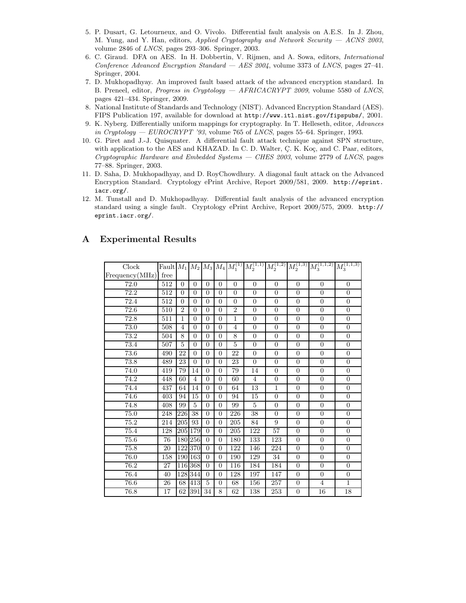- 5. P. Dusart, G. Letourneux, and O. Vivolo. Differential fault analysis on A.E.S. In J. Zhou, M. Yung, and Y. Han, editors, *Applied Cryptography and Network Security*  $-$  *ACNS 2003*, volume 2846 of LNCS, pages 293–306. Springer, 2003.
- 6. C. Giraud. DFA on AES. In H. Dobbertin, V. Rijmen, and A. Sowa, editors, International Conference Advanced Encryption Standard  $-$  AES 2004, volume 3373 of LNCS, pages 27–41. Springer, 2004.
- 7. D. Mukhopadhyay. An improved fault based attack of the advanced encryption standard. In B. Preneel, editor, *Progress in Cryptology* — AFRICACRYPT 2009, volume 5580 of LNCS, pages 421–434. Springer, 2009.
- 8. National Institute of Standards and Technology (NIST). Advanced Encryption Standard (AES). FIPS Publication 197, available for download at http://www.itl.nist.gov/fipspubs/, 2001.
- 9. K. Nyberg. Differentially uniform mappings for cryptography. In T. Helleseth, editor, Advances in Cryptology — EUROCRYPT '93, volume 765 of LNCS, pages 55–64. Springer, 1993.
- 10. G. Piret and J.-J. Quisquater. A differential fault attack technique against SPN structure, with application to the AES and KHAZAD. In C. D. Walter, C. K. Koç, and C. Paar, editors, Cryptographic Hardware and Embedded Systems — CHES 2003, volume 2779 of LNCS, pages 77–88. Springer, 2003.
- 11. D. Saha, D. Mukhopadhyay, and D. RoyChowdhury. A diagonal fault attack on the Advanced Encryption Standard. Cryptology ePrint Archive, Report 2009/581, 2009. http://eprint. iacr.org/.
- 12. M. Tunstall and D. Mukhopadhyay. Differential fault analysis of the advanced encryption standard using a single fault. Cryptology ePrint Archive, Report 2009/575, 2009. http:// eprint.iacr.org/.

| ${\rm Clock}$  |      |                |                |                |                |                | Fault $M_1 M_2 M_3 M_4 M_1^{(1)} M_2^{(1,1)}$ | $M_2^{(1,2)}$  | $M_2^{(1,3)}$    | $M_3^{(1,1,2)}$ | $M_3^{(1,1,3)}$  |
|----------------|------|----------------|----------------|----------------|----------------|----------------|-----------------------------------------------|----------------|------------------|-----------------|------------------|
| Frequency(MHz) | free |                |                |                |                |                |                                               |                |                  |                 |                  |
| 72.0           | 512  | $\theta$       | $\overline{0}$ | $\Omega$       | $\Omega$       | $\overline{0}$ | $\overline{0}$                                | $\overline{0}$ | $\overline{0}$   | $\theta$        | $\overline{0}$   |
| 72.2           | 512  | $\Omega$       | $\overline{0}$ | $\Omega$       | $\Omega$       | $\Omega$       | $\overline{0}$                                | $\overline{0}$ | $\overline{0}$   | $\Omega$        | $\overline{0}$   |
| 72.4           | 512  | $\overline{0}$ | $\overline{0}$ | $\theta$       | $\overline{0}$ | $\overline{0}$ | $\overline{0}$                                | $\overline{0}$ | $\overline{0}$   | $\overline{0}$  | $\overline{0}$   |
| 72.6           | 510  | $\overline{2}$ | $\overline{0}$ | $\Omega$       | $\Omega$       | $\overline{2}$ | $\overline{0}$                                | $\overline{0}$ | $\overline{0}$   | $\theta$        | $\overline{0}$   |
| 72.8           | 511  | $\mathbf{1}$   | $\overline{0}$ | $\Omega$       | $\Omega$       | $\mathbf{1}$   | $\overline{0}$                                | $\overline{0}$ | $\overline{0}$   | $\overline{0}$  | $\overline{0}$   |
| 73.0           | 508  | $\overline{4}$ | $\overline{0}$ | $\overline{0}$ | $\theta$       | $\overline{4}$ | $\overline{0}$                                | $\overline{0}$ | $\overline{0}$   | $\overline{0}$  | $\overline{0}$   |
| 73.2           | 504  | 8              | $\overline{0}$ | $\Omega$       | $\Omega$       | 8              | $\overline{0}$                                | $\overline{0}$ | $\boldsymbol{0}$ | $\theta$        | $\boldsymbol{0}$ |
| 73.4           | 507  | $\overline{5}$ | $\theta$       | $\Omega$       | $\theta$       | $\overline{5}$ | $\overline{0}$                                | $\overline{0}$ | $\overline{0}$   | $\overline{0}$  | $\overline{0}$   |
| 73.6           | 490  | 22             | $\overline{0}$ | $\overline{0}$ | $\overline{0}$ | 22             | $\overline{0}$                                | $\overline{0}$ | $\overline{0}$   | $\overline{0}$  | $\overline{0}$   |
| 73.8           | 489  | 23             | $\overline{0}$ | $\Omega$       | $\Omega$       | 23             | $\overline{0}$                                | $\overline{0}$ | $\boldsymbol{0}$ | $\overline{0}$  | $\boldsymbol{0}$ |
| 74.0           | 419  | 79             | 14             | $\Omega$       | $\theta$       | 79             | 14                                            | $\overline{0}$ | $\overline{0}$   | $\overline{0}$  | $\overline{0}$   |
| 74.2           | 448  | 60             | $\overline{4}$ | $\Omega$       | $\theta$       | 60             | $\overline{4}$                                | $\overline{0}$ | $\overline{0}$   | $\Omega$        | $\overline{0}$   |
| 74.4           | 437  | 64             | 14             | $\overline{0}$ | $\overline{0}$ | 64             | 13                                            | $\mathbf{1}$   | $\overline{0}$   | $\overline{0}$  | $\overline{0}$   |
| 74.6           | 403  | 94             | 15             | $\Omega$       | $\theta$       | 94             | 15                                            | $\overline{0}$ | $\overline{0}$   | $\overline{0}$  | $\overline{0}$   |
| 74.8           | 408  | 99             | 5              | $\Omega$       | $\Omega$       | 99             | 5                                             | $\overline{0}$ | $\boldsymbol{0}$ | $\theta$        | $\overline{0}$   |
| 75.0           | 248  | 226            | $38\,$         | $\Omega$       | $\Omega$       | 226            | 38                                            | $\overline{0}$ | $\overline{0}$   | $\overline{0}$  | $\overline{0}$   |
| 75.2           | 214  | 205            | 93             | $\Omega$       | $\Omega$       | 205            | 84                                            | 9              | $\boldsymbol{0}$ | $\overline{0}$  | $\overline{0}$   |
| 75.4           | 128  | 205            | 179            | $\Omega$       | $\Omega$       | 205            | 122                                           | 57             | $\overline{0}$   | $\Omega$        | $\overline{0}$   |
| 75.6           | 76   |                | 180 256        | $\Omega$       | $\overline{0}$ | 180            | 133                                           | 123            | $\overline{0}$   | $\theta$        | $\overline{0}$   |
| 75.8           | 20   |                | 122 370        | $\Omega$       | $\Omega$       | 122            | 146                                           | 224            | $\overline{0}$   | $\overline{0}$  | $\overline{0}$   |
| 76.0           | 158  |                | 190163         | $\overline{0}$ | $\theta$       | 190            | 129                                           | 34             | $\overline{0}$   | $\overline{0}$  | $\overline{0}$   |
| 76.2           | 27   |                | 116 368        | $\Omega$       | $\Omega$       | 116            | 184                                           | 184            | $\overline{0}$   | $\overline{0}$  | $\overline{0}$   |
| 76.4           | 40   |                | 128 344        | $\Omega$       | $\Omega$       | 128            | 197                                           | 147            | $\boldsymbol{0}$ | $\theta$        | $\boldsymbol{0}$ |
| 76.6           | 26   | 68             | 413            | 5              | $\theta$       | 68             | 156                                           | 257            | $\overline{0}$   | $\overline{4}$  | $\mathbf{1}$     |
| 76.8           | 17   | 62             | 391            | 34             | 8              | 62             | 138                                           | 253            | $\overline{0}$   | 16              | 18               |

## A Experimental Results